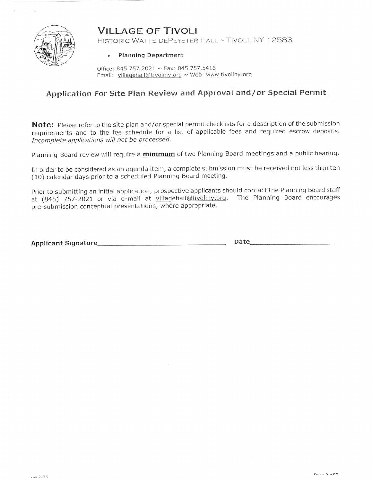# **VILLAGE OF TIVOLI**



HISTORIC WATTS DEPEYSTER HALL ~ TIVOLI, NY 12583

#### • Planning Department

Office: 845.757.2021 ~ Fax: 845.757.5416 Email: villagehall@tivoliny.org ~ Web: www.tivoliny.org

### Application For Site Plan Review and Approval and/or Special Permit

Note: Please refer to the site plan and/or special permit checklists for a description of the submission requirements and to the fee schedule for a list of applicable fees and required escrow deposits. Incomplete applications will not be processed.

Planning Board review will require a *minimum* of two Planning Board meetings and a public hearing.

In order to be considered as an agenda item, a complete submission must be received not less than ten (10) calendar days prior to a scheduled Planning Board meeting.

Prior to submitting an initial application, prospective applicants should contact the Planning Board staff at (845) 757-2021 or via e-mail at villagehall@tivoliny.org. The Planning Board encourages pre-submission conceptual presentations, where appropriate.

Date and the contract of the contract of the contract of the contract of the contract of the contract of the contract of the contract of the contract of the contract of the contract of the contract of the contract of the c